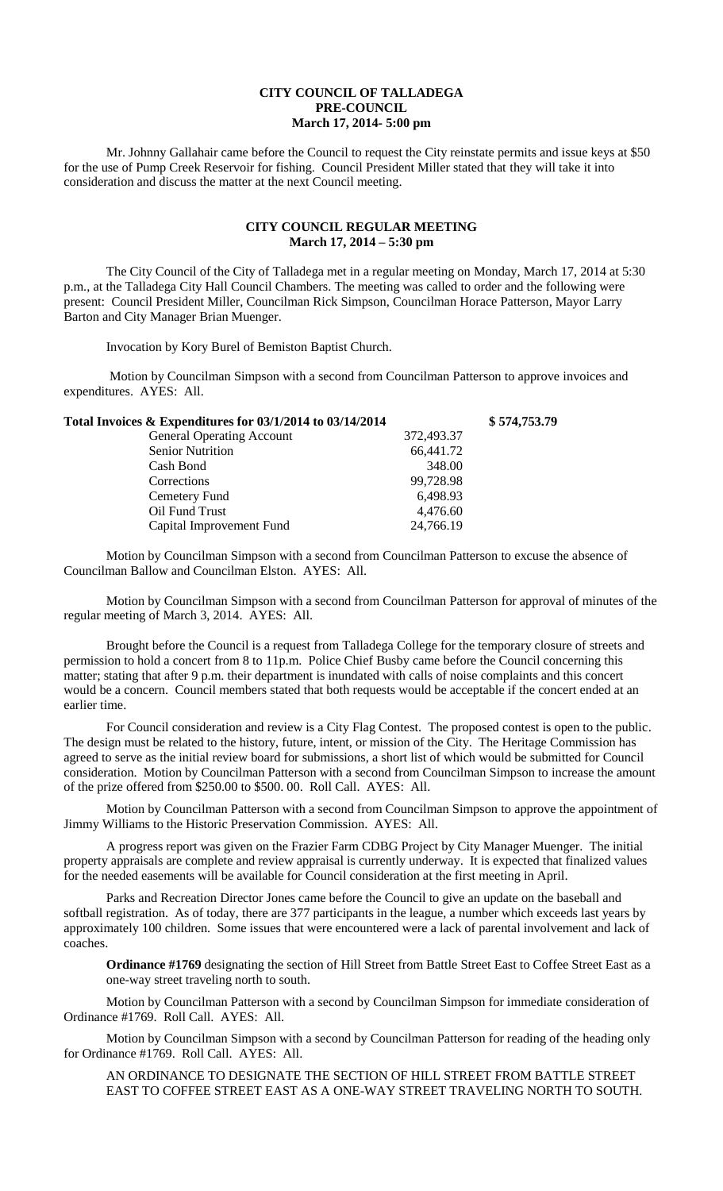## **CITY COUNCIL OF TALLADEGA PRE-COUNCIL March 17, 2014- 5:00 pm**

Mr. Johnny Gallahair came before the Council to request the City reinstate permits and issue keys at \$50 for the use of Pump Creek Reservoir for fishing. Council President Miller stated that they will take it into consideration and discuss the matter at the next Council meeting.

## **CITY COUNCIL REGULAR MEETING March 17, 2014 – 5:30 pm**

The City Council of the City of Talladega met in a regular meeting on Monday, March 17, 2014 at 5:30 p.m., at the Talladega City Hall Council Chambers. The meeting was called to order and the following were present: Council President Miller, Councilman Rick Simpson, Councilman Horace Patterson, Mayor Larry Barton and City Manager Brian Muenger.

Invocation by Kory Burel of Bemiston Baptist Church.

Motion by Councilman Simpson with a second from Councilman Patterson to approve invoices and expenditures. AYES: All.

| Total Invoices & Expenditures for 03/1/2014 to 03/14/2014 |            | \$574,753.79 |
|-----------------------------------------------------------|------------|--------------|
| <b>General Operating Account</b>                          | 372,493.37 |              |
| <b>Senior Nutrition</b>                                   | 66,441.72  |              |
| Cash Bond                                                 | 348.00     |              |
| Corrections                                               | 99,728.98  |              |
| Cemetery Fund                                             | 6,498.93   |              |
| Oil Fund Trust                                            | 4,476.60   |              |
| Capital Improvement Fund                                  | 24,766.19  |              |

Motion by Councilman Simpson with a second from Councilman Patterson to excuse the absence of Councilman Ballow and Councilman Elston. AYES: All.

Motion by Councilman Simpson with a second from Councilman Patterson for approval of minutes of the regular meeting of March 3, 2014. AYES: All.

Brought before the Council is a request from Talladega College for the temporary closure of streets and permission to hold a concert from 8 to 11p.m. Police Chief Busby came before the Council concerning this matter; stating that after 9 p.m. their department is inundated with calls of noise complaints and this concert would be a concern. Council members stated that both requests would be acceptable if the concert ended at an earlier time.

For Council consideration and review is a City Flag Contest. The proposed contest is open to the public. The design must be related to the history, future, intent, or mission of the City. The Heritage Commission has agreed to serve as the initial review board for submissions, a short list of which would be submitted for Council consideration. Motion by Councilman Patterson with a second from Councilman Simpson to increase the amount of the prize offered from \$250.00 to \$500. 00. Roll Call. AYES: All.

Motion by Councilman Patterson with a second from Councilman Simpson to approve the appointment of Jimmy Williams to the Historic Preservation Commission. AYES: All.

A progress report was given on the Frazier Farm CDBG Project by City Manager Muenger. The initial property appraisals are complete and review appraisal is currently underway. It is expected that finalized values for the needed easements will be available for Council consideration at the first meeting in April.

Parks and Recreation Director Jones came before the Council to give an update on the baseball and softball registration. As of today, there are 377 participants in the league, a number which exceeds last years by approximately 100 children. Some issues that were encountered were a lack of parental involvement and lack of coaches.

**Ordinance #1769** designating the section of Hill Street from Battle Street East to Coffee Street East as a one-way street traveling north to south.

Motion by Councilman Patterson with a second by Councilman Simpson for immediate consideration of Ordinance #1769. Roll Call. AYES: All.

Motion by Councilman Simpson with a second by Councilman Patterson for reading of the heading only for Ordinance #1769. Roll Call. AYES: All.

AN ORDINANCE TO DESIGNATE THE SECTION OF HILL STREET FROM BATTLE STREET EAST TO COFFEE STREET EAST AS A ONE-WAY STREET TRAVELING NORTH TO SOUTH.